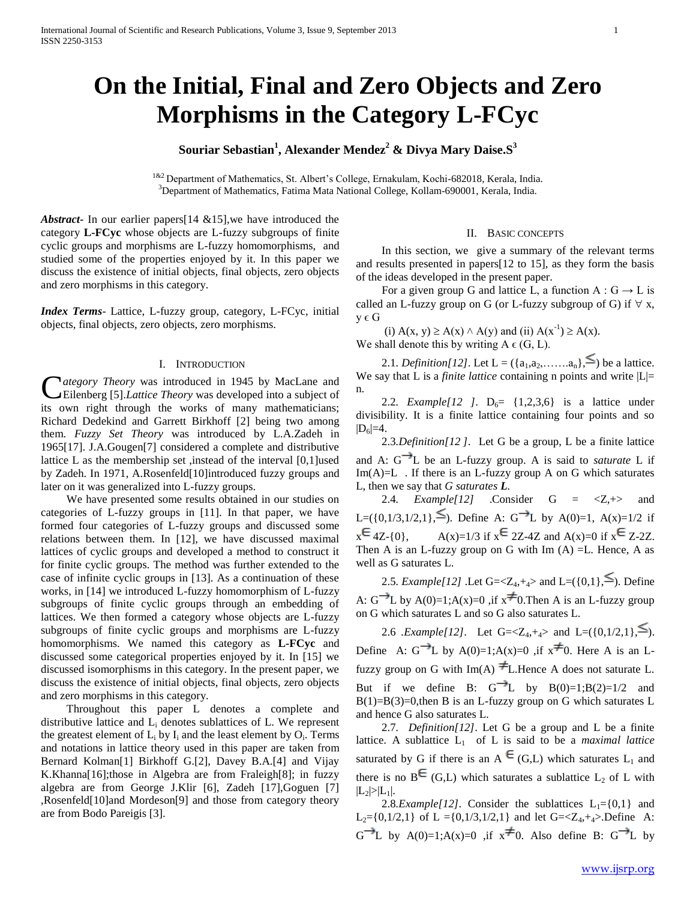# **On the Initial, Final and Zero Objects and Zero Morphisms in the Category L-FCyc**

# **Souriar Sebastian<sup>1</sup> , Alexander Mendez<sup>2</sup> & Divya Mary Daise.S<sup>3</sup>**

<sup>1&2</sup> Department of Mathematics, St. Albert's College, Ernakulam, Kochi-682018, Kerala, India. <sup>3</sup>Department of Mathematics, Fatima Mata National College, Kollam-690001, Kerala, India.

*Abstract***-** In our earlier papers[14 &15],we have introduced the category **L-FCyc** whose objects are L-fuzzy subgroups of finite cyclic groups and morphisms are L-fuzzy homomorphisms,and studied some of the properties enjoyed by it. In this paper we discuss the existence of initial objects, final objects, zero objects and zero morphisms in this category.

*Index Terms*- Lattice, L-fuzzy group, category, L-FCyc, initial objects, final objects, zero objects, zero morphisms.

## I. INTRODUCTION

*ategory Theory* was introduced in 1945 by MacLane and Eilenberg [5].*Lattice Theory* was developed into a subject of *Category Theory* was introduced in 1945 by MacLane and Eilenberg [5]. *Lattice Theory* was developed into a subject of its own right through the works of many mathematicians; Richard Dedekind and Garrett Birkhoff [2] being two among them. *Fuzzy Set Theory* was introduced by L.A.Zadeh in 1965[17]. J.A.Gougen[7] considered a complete and distributive lattice L as the membership set ,instead of the interval [0,1]used by Zadeh. In 1971, A.Rosenfeld[10]introduced fuzzy groups and later on it was generalized into L-fuzzy groups.

 We have presented some results obtained in our studies on categories of L-fuzzy groups in [11]. In that paper, we have formed four categories of L-fuzzy groups and discussed some relations between them. In [12], we have discussed maximal lattices of cyclic groups and developed a method to construct it for finite cyclic groups. The method was further extended to the case of infinite cyclic groups in [13]. As a continuation of these works, in [14] we introduced L-fuzzy homomorphism of L-fuzzy subgroups of finite cyclic groups through an embedding of lattices. We then formed a category whose objects are L-fuzzy subgroups of finite cyclic groups and morphisms are L-fuzzy homomorphisms. We named this category as **L-FCyc** and discussed some categorical properties enjoyed by it. In [15] we discussed isomorphisms in this category. In the present paper, we discuss the existence of initial objects, final objects, zero objects and zero morphisms in this category.

 Throughout this paper L denotes a complete and distributive lattice and  $L_i$  denotes sublattices of L. We represent the greatest element of  $L_i$  by  $I_i$  and the least element by  $O_i$ . Terms and notations in lattice theory used in this paper are taken from Bernard Kolman[1] Birkhoff G.[2], Davey B.A.[4] and Vijay K.Khanna[16];those in Algebra are from Fraleigh[8]; in fuzzy algebra are from George J.Klir [6], Zadeh [17],Goguen [7] ,Rosenfeld[10]and Mordeson[9] and those from category theory are from Bodo Pareigis [3].

#### II. BASIC CONCEPTS

 In this section, we give a summary of the relevant terms and results presented in papers[12 to 15], as they form the basis of the ideas developed in the present paper.

For a given group G and lattice L, a function  $A: G \rightarrow L$  is called an L-fuzzy group on G (or L-fuzzy subgroup of G) if  $\forall x$ ,  $y \in G$ 

(i)  $A(x, y) \ge A(x) \wedge A(y)$  and (ii)  $A(x^{-1}) \ge A(x)$ . We shall denote this by writing  $A \in (G, L)$ .

2.1*. Definition*[12]. Let  $L = (\{a_1, a_2, \ldots, a_n\},^{\leq})$  be a lattice. We say that L is a *finite lattice* containing n points and write  $|L|$ = n.

2.2*. Example*[12 ].  $D_6 = \{1,2,3,6\}$  is a lattice under divisibility. It is a finite lattice containing four points and so  $|D_6|=4.$ 

 2.3*.Definition[12 ]*. Let G be a group, L be a finite lattice and A:  $G^{-1}L$  be an L-fuzzy group. A is said to *saturate* L if  $Im(A)=L$ . If there is an L-fuzzy group A on G which saturates L, then we say that *G saturates L.*

 2.4*. Example[12]* .Consider G = <Z,+> and L=({0,1/3,1/2,1}, \[>). Define A: G<sup>{-}</sup>L by A(0)=1, A(x)=1/2 if  $x \in 4Z-{0}$ ,  $A(x)=1/3$  if  $x \in 2Z-4Z$  and  $A(x)=0$  if  $x \in Z-2Z$ . Then A is an L-fuzzy group on G with  $Im(A) = L$ . Hence, A as well as G saturates L.

2.5*. Example*[12] .Let G= $\langle Z_4, +_4 \rangle$  and L=({0,1},  $\leq$ }). Define A:  $G^{\rightarrow}L$  by A(0)=1;A(x)=0 ,if  $x^{\neq}$ 0. Then A is an L-fuzzy group on G which saturates L and so G also saturates L.

2.6 *.Example*[12]. Let  $G = \langle Z_4, +_4 \rangle$  and  $L = (\{0, 1/2, 1\}, \leq)$ . Define A:  $G \rightarrow L$  by A(0)=1;A(x)=0 ,if  $x \not\equiv 0$ . Here A is an Lfuzzy group on G with Im(A)  $\neq$  L.Hence A does not saturate L. But if we define B:  $G^{-1}L$  by  $B(0)=1;B(2)=1/2$  and  $B(1)=B(3)=0$ , then B is an L-fuzzy group on G which saturates L and hence G also saturates L.

 2.7*. Definition[12]*. Let G be a group and L be a finite lattice. A sublattice L<sub>1</sub> of L is said to be a *maximal lattice* saturated by G if there is an A  $\in$  (G,L) which saturates L<sub>1</sub> and there is no  $B^{\epsilon}(G,L)$  which saturates a sublattice  $L_2$  of L with  $|L_2|>|L_1|$ .

2.8*.Example*[12]. Consider the sublattices  $L_1 = \{0,1\}$  and  $L_2=[0,1/2,1]$  of  $L=[0,1/3,1/2,1]$  and let  $G=\langle Z_4, +4 \rangle$ . Define A:  $G^{\rightarrow}L$  by A(0)=1;A(x)=0 ,if  $x^{\neq}0$ . Also define B:  $G^{\rightarrow}L$  by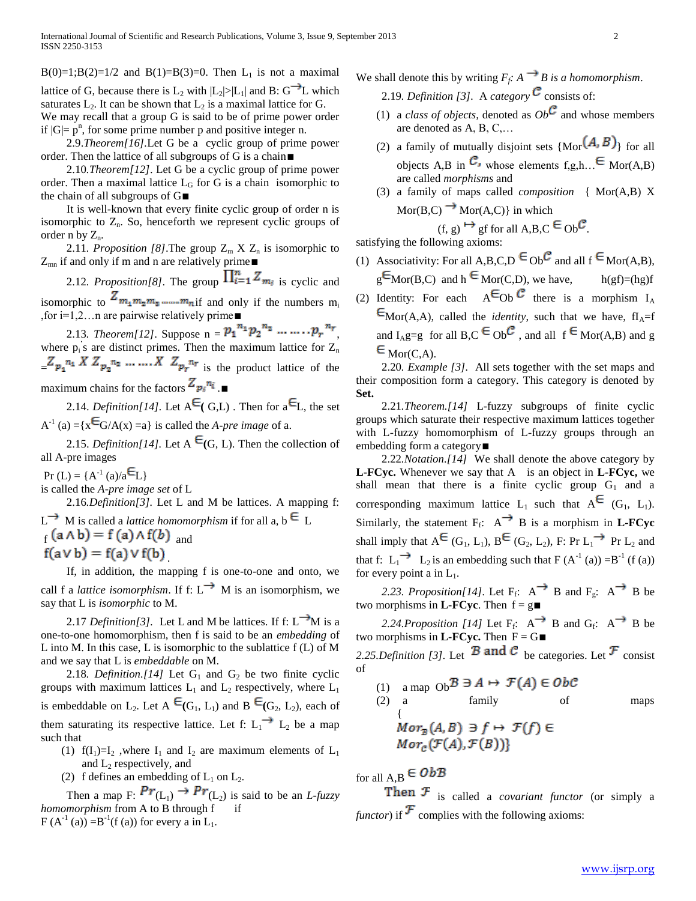B(0)=1;B(2)=1/2 and B(1)=B(3)=0. Then L<sub>1</sub> is not a maximal lattice of G, because there is  $L_2$  with  $|L_2|>|L_1|$  and B: G<sup>----</sup>L which saturates  $L_2$ . It can be shown that  $L_2$  is a maximal lattice for G. We may recall that a group G is said to be of prime power order if  $|G| = p^n$ , for some prime number p and positive integer n.

 2.9.*Theorem[16].*Let G be a cyclic group of prime power order. Then the lattice of all subgroups of G is a chain∎

 2.10*.Theorem[12]*. Let G be a cyclic group of prime power order. Then a maximal lattice  $L_G$  for G is a chain isomorphic to the chain of all subgroups of G∎

 It is well-known that every finite cyclic group of order n is isomorphic to  $Z_n$ . So, henceforth we represent cyclic groups of order n by  $Z_n$ .

2.11*. Proposition [8]*. The group  $Z_m$  X  $Z_n$  is isomorphic to Z<sub>mn</sub> if and only if m and n are relatively prime∎

2.12*. Proposition*[8]. The group  $\prod_{i=1}^{n} Z_{m_i}$  is cyclic and isomorphic to  $Z_{m_1 m_2 m_3 \dots m_n}$  if and only if the numbers  $m_i$ 

,for i=1,2…n are pairwise relatively prime∎ 2.13*. Theorem*[12]. Suppose  $n = p_1^{n_1} p_2^{n_2} \dots \dots \dots p_r^{n_r}$ where  $p_i$ 's are distinct primes. Then the maximum lattice for  $Z_n$  $Z_{p_1}^{n_1} X Z_{p_2}^{n_2} \dots X Z_{p_r}^{n_r}$  is the product lattice of the maximum chains for the factors  $Z_{p_i}^{n_i}$  .■

2.14. *Definition*[14]. Let  $A^{\epsilon}$  (G,L). Then for  $a^{\epsilon}$ L, the set  $A^{-1}$  (a) ={ $x \in G/A(x) = a$ } is called the *A-pre image* of a.

2.15. *Definition*[14]. Let A  $\epsilon$ <sub>(G, L)</sub>. Then the collection of all A-pre images

 $Pr(L) = {A^{-1} (a)/a \Xi_L}$ 

is called the *A-pre image set* of L

 2.16*.Definition[3].* Let L and M be lattices. A mapping f:  $L \rightarrow M$  is called a *lattice homomorphism* if for all a,  $b \in L$  $f(a \wedge b) = f(a) \wedge f(b)$  and  $f(a \vee b) = f(a) \vee f(b)$ 

 If, in addition, the mapping f is one-to-one and onto, we call f a *lattice isomorphism*. If f:  $L \rightarrow M$  is an isomorphism, we say that L is *isomorphic* to M.

2.17 *Definition*[3]. Let L and M be lattices. If f:  $L^{\rightarrow}$ M is a one-to-one homomorphism, then f is said to be an *embedding* of L into M. In this case, L is isomorphic to the sublattice f (L) of M and we say that L is *embeddable* on M.

2.18*. Definition.*[14] Let  $G_1$  and  $G_2$  be two finite cyclic groups with maximum lattices  $L_1$  and  $L_2$  respectively, where  $L_1$ is embeddable on L<sub>2</sub>. Let A  $\epsilon_{(G_1, L_1)}$  and B  $\epsilon_{(G_2, L_2)}$ , each of them saturating its respective lattice. Let f:  $L_1 \rightarrow L_2$  be a map such that

- (1)  $f(I_1)=I_2$ , where  $I_1$  and  $I_2$  are maximum elements of  $L_1$ and  $L_2$  respectively, and
- (2) f defines an embedding of  $L_1$  on  $L_2$ .

Then a map F:  $Pr(L_1) \rightarrow Pr(L_2)$  is said to be an *L-fuzzy homomorphism* from A to B through f if  $F(A^{-1}(a)) = B^{-1}(f(a))$  for every a in L<sub>1</sub>.

- We shall denote this by writing  $F_f$ :  $A \rightarrow B$  is a homomorphism.
	- 2.19*. Definition [3].* A *category*  $\mathcal{C}$  consists of:
	- (1) a *class of objects*, denoted as  $Ob^{\mathcal{C}}$  and whose members are denoted as A, B, C,…
	- (2) a family of mutually disjoint sets  ${Mor}(A, B)$  for all objects A,B in  $\mathcal{C}_i$ , whose elements f,g,h,  $\in$  Mor(A,B) are called *morphisms* and
	- (3) a family of maps called *composition* { Mor(A,B) X  $Mor(B, C) \rightarrow Mor(A, C)$  in which (f, g)  $\mapsto$  gf for all A,B,C  $\in$  Ob  $\mathcal{C}$ .

satisfying the following axioms:

- (1) Associativity: For all A,B,C,D  $\in$  Ob  $\mathcal C$  and all  $f \in \text{Mor}(A,B)$ ,  $g^{\text{E}}$ Mor(B,C) and h  $\in$  Mor(C,D), we have, h(gf)=(hg)f
- (2) Identity: For each  $A^{\epsilon}$ Ob  $\epsilon$  there is a morphism  $I_{A}$  $E_{\text{Mor}(A,A)}$ , called the *identity*, such that we have, fI<sub>A</sub>=f and  $I_{\text{A}}g=g$  for all  $B,C \in Ob^{\mathbb{C}}$ , and all  $f \in \text{Mor}(A,B)$  and g  $\epsilon_{\text{Mor}(C,A)}$

 2.20*. Example [3].* All sets together with the set maps and their composition form a category. This category is denoted by **Set.**

 2.21*.Theorem.[14]* L-fuzzy subgroups of finite cyclic groups which saturate their respective maximum lattices together with L-fuzzy homomorphism of L-fuzzy groups through an embedding form a category∎

 2.22*.Notation.[14]* We shall denote the above category by **L-FCyc.** Whenever we say that A is an object in **L-FCyc,** we shall mean that there is a finite cyclic group  $G_1$  and a corresponding maximum lattice  $L_1$  such that  $A^{\epsilon}$  (G<sub>1</sub>, L<sub>1</sub>). Similarly, the statement  $F_f$ :  $A^{\rightarrow}$  B is a morphism in **L-FCyc** shall imply that  $A^{\epsilon}(G_1, L_1), B^{\epsilon}(G_2, L_2), F: Pr L_1 \rightarrow Pr L_2$  and that f:  $L_1 \rightarrow L_2$  is an embedding such that  $F(A^{-1}(a)) = B^{-1}(f(a))$ for every point a in  $L_1$ .

2.23. Proposition[14]. Let  $F_f$ :  $A^{\rightarrow}$  B and  $F_g$ :  $A^{\rightarrow}$  B be two morphisms in **L-FCyc**. Then  $f = g$ **■** 

2.24.Proposition [14] Let  $F_f$ :  $A^{\rightarrow}$  B and  $G_f$ :  $A^{\rightarrow}$  B be two morphisms in **L-FCyc.** Then  $F = G$ 

2.25.Definition [3]. Let **B** and **C** be categories. Let **F** consist of

(1) a map  $Ob^{\mathcal{B}} \ni A \mapsto \mathcal{F}(A) \in Ob\mathcal{C}$ (2) a family of maps  $Mor_{\mathcal{B}}(A, B) \ni f \mapsto \mathcal{F}(f) \in$  $Mor_{c}(\mathcal{F}(A), \mathcal{F}(B))$ 

for all  $A, B \in ObB$ 

Then  $F$  is called a *covariant functor* (or simply a *functor*) if  $\mathcal{F}$  complies with the following axioms: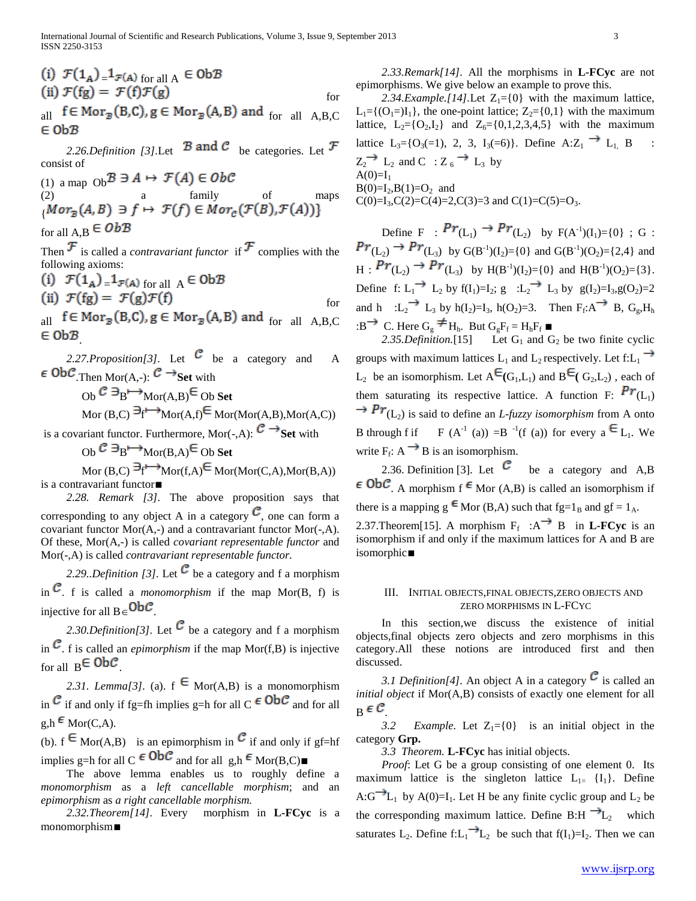(i) 
$$
\mathcal{F}(1_A) = 1_{\mathcal{F}(A) \text{ for all } A} \in \text{Ob}\mathcal{B}
$$
  
\n(ii)  $\mathcal{F}(fg) = \mathcal{F}(f)\mathcal{F}(g)$  for

all  $f \in Mor_{\mathcal{B}}(B,C)$ ,  $g \in Mor_{\mathcal{B}}(A,B)$  and  $_{for}$  all  $_{A,B,C}$  $\in$  Ob $B$ 

2.26.Definition [3].Let  $\mathcal B$  and  $\mathcal C$  be categories. Let  $\mathcal F$ consist of

(1) a map  $Ob^{\mathcal{B}} \ni A \mapsto \mathcal{F}(A) \in Ob\mathcal{C}$ (2) a family of maps { for all A, B  $\in ObB$ 

Then  $\mathcal F$  is called a *contravariant functor* if  $\mathcal F$  complies with the following axioms:

(i) 
$$
\mathcal{F}(1_A) = 1_{\mathcal{F}(A) \text{ for all } A} \in \text{Ob}\mathcal{B}
$$
  
\n(ii)  $\mathcal{F}(fg) = \mathcal{F}(g)\mathcal{F}(f)$  for

 $_{\rm all}$  f  $\in$  Mor $_{\rm \mathcal{B}}$ (B,C), g  $\in$  Mor $_{\rm \mathcal{B}}$ (A,B) and  $_{\rm for}$   $_{\rm all}$   $_{\rm A, B, C}$  $\in$  0b $B$ 

2.27. Proposition[3]. Let 
$$
C
$$
 be a category and  $A \in \text{Ob}\mathcal{C}$ . Then  $\text{Mor}(A, \cdot)$ :  $\mathcal{C} \rightarrow \text{Set}$  with  $\text{Ob }\mathcal{C} \ni_B \mapsto \text{Mor}(A, B) \in \text{Ob } \text{Set}$   $\text{Mor}(B, C) \ni_f \mapsto \text{Mor}(A, f) \in \text{Mor}(\text{Mor}(A, B), \text{Mor}(A, C))$ 

is a covariant functor. Furthermore, Mor $(-, A)$ :  $\mathcal{C} \rightarrow$  Set with

 $\overline{CD} \overset{\frown}{B} \longrightarrow \overline{Mor(B,A)} \overset{\frown}{\subseteq}$  Ob Set

 $\text{Mor}(\text{B},\text{C}) \to^{\text{A}} \text{Mor}(\text{f},\text{A}) \in \text{Mor}(\text{Mor}(\text{C},\text{A}),\text{Mor}(\text{B},\text{A}))$ is a contravariant functor∎

 *2.28. Remark [3].* The above proposition says that corresponding to any object A in a category  $\mathcal{C}$ , one can form a covariant functor Mor(A,-) and a contravariant functor Mor(-,A). Of these, Mor(A,-) is called *covariant representable functor* and Mor(-,A) is called *contravariant representable functor.*

2.29.*Definition [3]*. Let  $\mathcal C$  be a category and f a morphism in  $\mathcal{C}$ , f is called a *monomorphism* if the map Mor(B, f) is injective for all  $B \in \mathsf{Ob}\mathcal{C}$ .

2.30.Definition[3]. Let  $\mathcal C$  be a category and f a morphism in  $\mathcal C$ , f is called an *epimorphism* if the map Mor(f,B) is injective for all  $B \in ObC$ 

2.31. Lemma[3]. (a).  $f \in \text{Mor}(A,B)$  is a monomorphism in  $\mathcal C$  if and only if fg=fh implies g=h for all C  $\epsilon$  Ob $\mathcal C$  and for all  $g,h \in \text{Mor}(C,A)$ .

(b).  $f \in \text{Mor}(A,B)$  is an epimorphism in  $\mathcal C$  if and only if gf=hf implies g=h for all C  $\in$  ObC<sup>2</sup> and for all g,h  $\in$  Mor(B,C)■

 The above lemma enables us to roughly define a *monomorphism* as a *left cancellable morphism*; and an *epimorphism* as *a right cancellable morphism.*

 *2.32.Theorem[14].* Every morphism in **L-FCyc** is a monomorphism∎

 *2.33.Remark[14].* All the morphisms in **L-FCyc** are not epimorphisms. We give below an example to prove this.

2.34.Example.[14].Let  $Z_1 = \{0\}$  with the maximum lattice,  $L_1 = \{(O_1=)I_1\}$ , the one-point lattice;  $Z_2 = \{0,1\}$  with the maximum lattice,  $L_2 = \{O_2, I_2\}$  and  $Z_6 = \{0, 1, 2, 3, 4, 5\}$  with the maximum lattice  $L_3 = \{O_3(=1), 2, 3, I_3(=6)\}\$ . Define  $A:Z_1 \longrightarrow L_1$ , B  $Z_2 \rightarrow L_2$  and C :  $Z_6 \rightarrow L_3$  by  $A(0)=I<sub>1</sub>$  $B(0)=I_2, B(1)=O_2$  and  $C(0)=I_3, C(2)=C(4)=2, C(3)=3$  and  $C(1)=C(5)=O_3$ .

Define F:  $PT(L_1) \to PT(L_2)$  by  $F(A^{-1})(I_1) = \{0\}$ ; G:  $(L_2) \rightarrow PT(L_3)$  by  $G(B^{-1})(I_2)=\{0\}$  and  $G(B^{-1})(O_2)=\{2,4\}$  and  $H: \mathbf{Pr}(L_2) \to \mathbf{Pr}(L_3)$  by  $H(B^{-1})(I_2) = \{0\}$  and  $H(B^{-1})(O_2) = \{3\}.$ Define f:  $L_1 \stackrel{\longrightarrow}{\longrightarrow} L_2$  by  $f(I_1)=I_2$ ;  $g : L_2 \stackrel{\longrightarrow}{\longrightarrow} L_3$  by  $g(I_2)=I_3$ ,  $g(O_2)=2$ and h : $L_2$ <sup>--</sup>  $L_3$  by h(I<sub>2</sub>)=I<sub>3</sub>, h(O<sub>2</sub>)=3. Then  $F_f$ :A<sup>--></sup> B, G<sub>g</sub>,H<sub>h</sub> :B<sup>→</sup> C. Here  $G_g \neq H_h$ . But  $G_gF_f = H_hF_f$ 

2.35.Definition.<sup>[15]</sup> Let  $G_1$  and  $G_2$  be two finite cyclic groups with maximum lattices  $L_1$  and  $L_2$  respectively. Let f: $L_1 \rightarrow$  $L_2$  be an isomorphism. Let  $A^{\epsilon}(G_1, L_1)$  and  $B^{\epsilon}(G_2, L_2)$ , each of them saturating its respective lattice. A function F:  $Pr(L_1)$  $\rightarrow Pr_{(L_2)}$  is said to define an *L-fuzzy isomorphism* from A onto B through f if F  $(A^{-1}(a)) = B^{-1}(f(a))$  for every  $a \in L_1$ . We write  $F_f$ :  $A \rightarrow B$  is an isomorphism.

2.36. Definition [3]. Let  $\mathcal{C}$  be a category and A,B  $\epsilon$  ObC. A morphism f  $\epsilon$  Mor (A,B) is called an isomorphism if there is a mapping  $g \in \text{Mor} (B, A)$  such that  $fg = 1_B$  and  $gf = 1_A$ . 2.37. Theorem [15]. A morphism  $F_f : A^{\rightharpoonup} B$  in **L-FCyc** is an isomorphism if and only if the maximum lattices for A and B are isomorphic∎

### III. INITIAL OBJECTS,FINAL OBJECTS,ZERO OBJECTS AND ZERO MORPHISMS IN L-FCYC

 In this section,we discuss the existence of initial objects,final objects zero objects and zero morphisms in this category.All these notions are introduced first and then discussed.

*3.1 Definition*[4]. An object A in a category  $\mathcal{C}$  is called an *initial object* if Mor(A,B) consists of exactly one element for all  $B \in \mathcal{C}$ 

3.2 *Example.* Let  $Z_1 = \{0\}$  is an initial object in the category **Grp.**

*3.3 Theorem.* **L-FCyc** has initial objects.

 *Proof*: Let G be a group consisting of one element 0. Its maximum lattice is the singleton lattice  $L_1 = \{I_1\}$ . Define A: $G^{-1}L_1$  by A(0)=I<sub>1</sub>. Let H be any finite cyclic group and L<sub>2</sub> be the corresponding maximum lattice. Define B:H  $\rightarrow L_2$  which saturates L<sub>2</sub>. Define f:L<sub>1</sub> L<sub>2</sub> be such that f(I<sub>1</sub>)=I<sub>2</sub>. Then we can